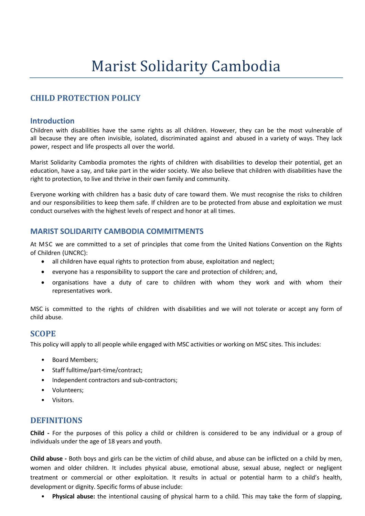# **Marist Solidarity Cambodia**

# **CHILD PROTECTION POLICY**

### **Introduction**

Children with disabilities have the same rights as all children. However, they can be the most vulnerable of all because they are often invisible, isolated, discriminated against and abused in a variety of ways. They lack power, respect and life prospects all over the world.

Marist Solidarity Cambodia promotes the rights of children with disabilities to develop their potential, get an education, have a say, and take part in the wider society. We also believe that children with disabilities have the right to protection, to live and thrive in their own family and community.

Everyone working with children has a basic duty of care toward them. We must recognise the risks to children and our responsibilities to keep them safe. If children are to be protected from abuse and exploitation we must conduct ourselves with the highest levels of respect and honor at all times.

## **MARIST SOLIDARITY CAMBODIA COMMITMENTS**

At MSC we are committed to a set of principles that come from the United Nations Convention on the Rights of Children (UNCRC):

- all children have equal rights to protection from abuse, exploitation and neglect;
- everyone has a responsibility to support the care and protection of children; and,
- organisations have a duty of care to children with whom they work and with whom their representatives work.

MSC is committed to the rights of children with disabilities and we will not tolerate or accept any form of child abuse.

### **SCOPE**

This policy will apply to all people while engaged with MSC activities or working on MSC sites. This includes:

- Board Members;
- Staff fulltime/part-time/contract;
- Independent contractors and sub-contractors;
- Volunteers;
- Visitors.

## **DEFINITIONS**

**Child -** For the purposes of this policy a child or children is considered to be any individual or a group of individuals under the age of 18 years and youth.

**Child abuse -** Both boys and girls can be the victim of child abuse, and abuse can be inflicted on a child by men, women and older children. It includes physical abuse, emotional abuse, sexual abuse, neglect or negligent treatment or commercial or other exploitation. It results in actual or potential harm to a child's health, development or dignity. Specific forms of abuse include:

• **Physical abuse:** the intentional causing of physical harm to a child. This may take the form of slapping,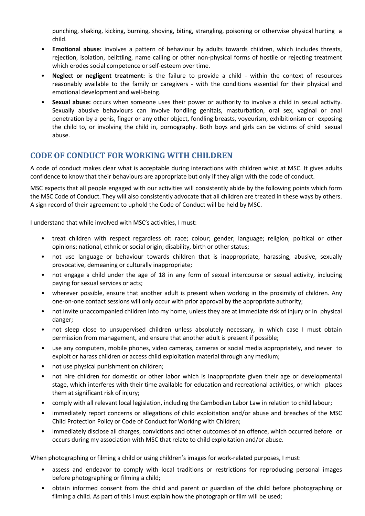punching, shaking, kicking, burning, shoving, biting, strangling, poisoning or otherwise physical hurting a child.

- **Emotional abuse:** involves a pattern of behaviour by adults towards children, which includes threats, rejection, isolation, belittling, name calling or other non-physical forms of hostile or rejecting treatment which erodes social competence or self-esteem over time.
- **Neglect or negligent treatment:** is the failure to provide a child within the context of resources reasonably available to the family or caregivers - with the conditions essential for their physical and emotional development and well-being.
- **Sexual abuse:** occurs when someone uses their power or authority to involve a child in sexual activity. Sexually abusive behaviours can involve fondling genitals, masturbation, oral sex, vaginal or anal penetration by a penis, finger or any other object, fondling breasts, voyeurism, exhibitionism or exposing the child to, or involving the child in, pornography. Both boys and girls can be victims of child sexual abuse.

# **CODE OF CONDUCT FOR WORKING WITH CHILDREN**

A code of conduct makes clear what is acceptable during interactions with children whist at MSC. It gives adults confidence to know that their behaviours are appropriate but only if they align with the code of conduct.

MSC expects that all people engaged with our activities will consistently abide by the following points which form the MSC Code of Conduct. They will also consistently advocate that all children are treated in these ways by others. A sign record of their agreement to uphold the Code of Conduct will be held by MSC.

I understand that while involved with MSC's activities, I must:

- treat children with respect regardless of: race; colour; gender; language; religion; political or other opinions; national, ethnic or social origin; disability, birth or other status;
- not use language or behaviour towards children that is inappropriate, harassing, abusive, sexually provocative, demeaning or culturally inappropriate;
- not engage a child under the age of 18 in any form of sexual intercourse or sexual activity, including paying for sexual services or acts;
- wherever possible, ensure that another adult is present when working in the proximity of children. Any one-on-one contact sessions will only occur with prior approval by the appropriate authority;
- not invite unaccompanied children into my home, unless they are at immediate risk of injury or in physical danger;
- not sleep close to unsupervised children unless absolutely necessary, in which case I must obtain permission from management, and ensure that another adult is present if possible;
- use any computers, mobile phones, video cameras, cameras or social media appropriately, and never to exploit or harass children or access child exploitation material through any medium;
- not use physical punishment on children;
- not hire children for domestic or other labor which is inappropriate given their age or developmental stage, which interferes with their time available for education and recreational activities, or which places them at significant risk of injury;
- comply with all relevant local legislation, including the Cambodian Labor Law in relation to child labour;
- immediately report concerns or allegations of child exploitation and/or abuse and breaches of the MSC Child Protection Policy or Code of Conduct for Working with Children;
- immediately disclose all charges, convictions and other outcomes of an offence, which occurred before or occurs during my association with MSC that relate to child exploitation and/or abuse.

When photographing or filming a child or using children's images for work-related purposes, I must:

- assess and endeavor to comply with local traditions or restrictions for reproducing personal images before photographing or filming a child;
- obtain informed consent from the child and parent or guardian of the child before photographing or filming a child. As part of this I must explain how the photograph or film will be used;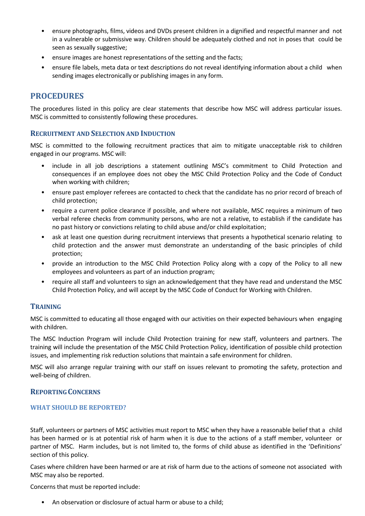- ensure photographs, films, videos and DVDs present children in a dignified and respectful manner and not in a vulnerable or submissive way. Children should be adequately clothed and not in poses that could be seen as sexually suggestive;
- ensure images are honest representations of the setting and the facts;
- ensure file labels, meta data or text descriptions do not reveal identifying information about a child when sending images electronically or publishing images in any form.

## **PROCEDURES**

The procedures listed in this policy are clear statements that describe how MSC will address particular issues. MSC is committed to consistently following these procedures.

#### **RECRUITMENT AND SELECTION AND INDUCTION**

MSC is committed to the following recruitment practices that aim to mitigate unacceptable risk to children engaged in our programs. MSC will:

- include in all job descriptions a statement outlining MSC's commitment to Child Protection and consequences if an employee does not obey the MSC Child Protection Policy and the Code of Conduct when working with children;
- ensure past employer referees are contacted to check that the candidate has no prior record of breach of child protection;
- require a current police clearance if possible, and where not available, MSC requires a minimum of two verbal referee checks from community persons, who are not a relative, to establish if the candidate has no past history or convictions relating to child abuse and/or child exploitation;
- ask at least one question during recruitment interviews that presents a hypothetical scenario relating to child protection and the answer must demonstrate an understanding of the basic principles of child protection;
- provide an introduction to the MSC Child Protection Policy along with a copy of the Policy to all new employees and volunteers as part of an induction program;
- require all staff and volunteers to sign an acknowledgement that they have read and understand the MSC Child Protection Policy, and will accept by the MSC Code of Conduct for Working with Children.

## **TRAINING**

MSC is committed to educating all those engaged with our activities on their expected behaviours when engaging with children.

The MSC Induction Program will include Child Protection training for new staff, volunteers and partners. The training will include the presentation of the MSC Child Protection Policy, identification of possible child protection issues, and implementing risk reduction solutions that maintain a safe environment for children.

MSC will also arrange regular training with our staff on issues relevant to promoting the safety, protection and well-being of children.

### **REPORTING CONCERNS**

#### **WHAT SHOULD BE REPORTED?**

Staff, volunteers or partners of MSC activities must report to MSC when they have a reasonable belief that a child has been harmed or is at potential risk of harm when it is due to the actions of a staff member, volunteer or partner of MSC. Harm includes, but is not limited to, the forms of child abuse as identified in the 'Definitions' section of this policy.

Cases where children have been harmed or are at risk of harm due to the actions of someone not associated with MSC may also be reported.

Concerns that must be reported include:

• An observation or disclosure of actual harm or abuse to a child;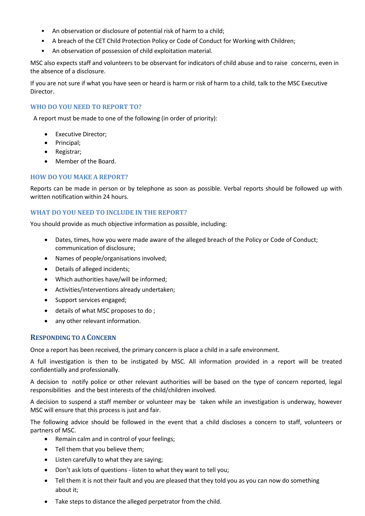- An observation or disclosure of potential risk of harm to a child;
- A breach of the CET Child Protection Policy or Code of Conduct for Working with Children;
- An observation of possession of child exploitation material.

MSC also expects staff and volunteers to be observant for indicators of child abuse and to raise concerns, even in the absence of a disclosure.

If you are not sure if what you have seen or heard is harm or risk of harm to a child, talk to the MSC Executive Director.

## **WHO DO YOU NEED TO REPORT TO?**

A report must be made to one of the following (in order of priority):

- Executive Director;
- Principal;
- Registrar;
- Member of the Board.

### **HOW DO YOU MAKE A REPORT?**

Reports can be made in person or by telephone as soon as possible. Verbal reports should be followed up with written notification within 24 hours.

#### **WHAT DO YOU NEED TO INCLUDE IN THE REPORT?**

You should provide as much objective information as possible, including:

- Dates, times, how you were made aware of the alleged breach of the Policy or Code of Conduct; communication of disclosure;
- Names of people/organisations involved;
- Details of alleged incidents;
- Which authorities have/will be informed;
- Activities/interventions already undertaken;
- Support services engaged;
- details of what MSC proposes to do ;
- any other relevant information.

#### **RESPONDING TO A CONCERN**

Once a report has been received, the primary concern is place a child in a safe environment.

A full investigation is then to be instigated by MSC. All information provided in a report will be treated confidentially and professionally.

A decision to notify police or other relevant authorities will be based on the type of concern reported, legal responsibilities and the best interests of the child/children involved.

A decision to suspend a staff member or volunteer may be taken while an investigation is underway, however MSC will ensure that this process is just and fair.

The following advice should be followed in the event that a child discloses a concern to staff, volunteers or partners of MSC.

- Remain calm and in control of your feelings;
- Tell them that you believe them;
- Listen carefully to what they are saying;
- Don't ask lots of questions listen to what they want to tell you;
- Tell them it is not their fault and you are pleased that they told you as you can now do something about it;
- Take steps to distance the alleged perpetrator from the child.